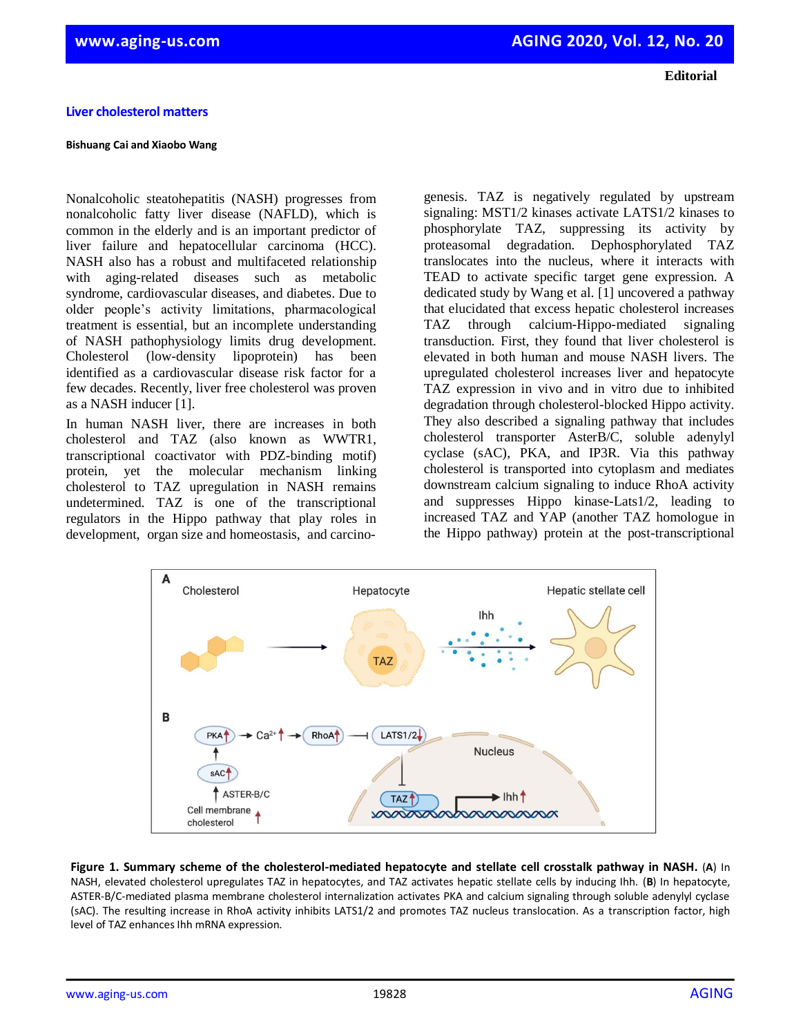## **Liver cholesterol matters**

## **Bishuang Cai and Xiaobo Wang**

Nonalcoholic steatohepatitis (NASH) progresses from nonalcoholic fatty liver disease (NAFLD), which is common in the elderly and is an important predictor of liver failure and hepatocellular carcinoma (HCC). NASH also has a robust and multifaceted relationship with aging-related diseases such as metabolic syndrome, cardiovascular diseases, and diabetes. Due to older people's activity limitations, pharmacological treatment is essential, but an incomplete understanding of NASH pathophysiology limits drug development. Cholesterol (low-density lipoprotein) has been identified as a cardiovascular disease risk factor for a few decades. Recently, liver free cholesterol was proven as a NASH inducer [1].

In human NASH liver, there are increases in both cholesterol and TAZ (also known as WWTR1, transcriptional coactivator with PDZ-binding motif) protein, yet the molecular mechanism linking cholesterol to TAZ upregulation in NASH remains undetermined. TAZ is one of the transcriptional regulators in the Hippo pathway that play roles in development, organ size and homeostasis, and carcino-

Cholesterol

A

genesis. TAZ is negatively regulated by upstream signaling: MST1/2 kinases activate LATS1/2 kinases to phosphorylate TAZ, suppressing its activity by proteasomal degradation. Dephosphorylated TAZ translocates into the nucleus, where it interacts with TEAD to activate specific target gene expression. A dedicated study by Wang et al. [1] uncovered a pathway that elucidated that excess hepatic cholesterol increases TAZ through calcium-Hippo-mediated signaling transduction. First, they found that liver cholesterol is elevated in both human and mouse NASH livers. The upregulated cholesterol increases liver and hepatocyte TAZ expression in vivo and in vitro due to inhibited degradation through cholesterol-blocked Hippo activity. They also described a signaling pathway that includes cholesterol transporter AsterB/C, soluble adenylyl cyclase (sAC), PKA, and IP3R. Via this pathway cholesterol is transported into cytoplasm and mediates downstream calcium signaling to induce RhoA activity and suppresses Hippo kinase-Lats1/2, leading to increased TAZ and YAP (another TAZ homologue in the Hippo pathway) protein at the post-transcriptional

Hepatic stellate cell



Hepatocyte

Ihh

NASH, elevated cholesterol upregulates TAZ in hepatocytes, and TAZ activates hepatic stellate cells by inducing Ihh. (**B**) In hepatocyte, ASTER-B/C-mediated plasma membrane cholesterol internalization activates PKA and calcium signaling through soluble adenylyl cyclase (sAC). The resulting increase in RhoA activity inhibits LATS1/2 and promotes TAZ nucleus translocation. As a transcription factor, high level of TAZ enhances Ihh mRNA expression.